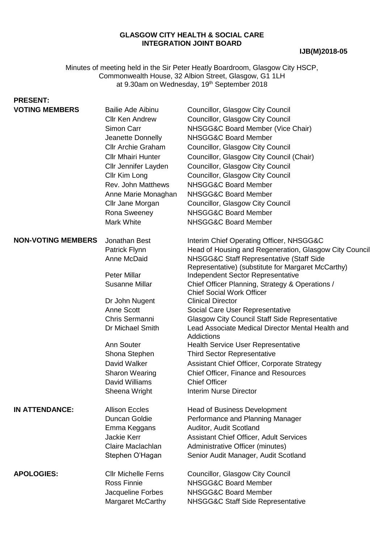#### **GLASGOW CITY HEALTH & SOCIAL CARE INTEGRATION JOINT BOARD**

#### **IJB(M)2018-05**

Minutes of meeting held in the Sir Peter Heatly Boardroom, Glasgow City HSCP, Commonwealth House, 32 Albion Street, Glasgow, G1 1LH at 9.30am on Wednesday, 19<sup>th</sup> September 2018

# **PRESENT:**

| <b>VOTING MEMBERS</b>     | <b>Bailie Ade Aibinu</b><br><b>Cllr Ken Andrew</b><br>Simon Carr<br>Jeanette Donnelly<br><b>Cllr Archie Graham</b><br><b>Cllr Mhairi Hunter</b><br>Cllr Jennifer Layden<br>Cllr Kim Long<br>Rev. John Matthews<br>Anne Marie Monaghan<br>Cllr Jane Morgan<br>Rona Sweeney             | Councillor, Glasgow City Council<br>Councillor, Glasgow City Council<br>NHSGG&C Board Member (Vice Chair)<br>NHSGG&C Board Member<br>Councillor, Glasgow City Council<br>Councillor, Glasgow City Council (Chair)<br>Councillor, Glasgow City Council<br>Councillor, Glasgow City Council<br>NHSGG&C Board Member<br>NHSGG&C Board Member<br>Councillor, Glasgow City Council<br>NHSGG&C Board Member                                                                                                                                                                                                                                                                                                                                                          |
|---------------------------|---------------------------------------------------------------------------------------------------------------------------------------------------------------------------------------------------------------------------------------------------------------------------------------|----------------------------------------------------------------------------------------------------------------------------------------------------------------------------------------------------------------------------------------------------------------------------------------------------------------------------------------------------------------------------------------------------------------------------------------------------------------------------------------------------------------------------------------------------------------------------------------------------------------------------------------------------------------------------------------------------------------------------------------------------------------|
|                           | Mark White                                                                                                                                                                                                                                                                            | NHSGG&C Board Member                                                                                                                                                                                                                                                                                                                                                                                                                                                                                                                                                                                                                                                                                                                                           |
| <b>NON-VOTING MEMBERS</b> | Jonathan Best<br>Patrick Flynn<br>Anne McDaid<br><b>Peter Millar</b><br><b>Susanne Millar</b><br>Dr John Nugent<br><b>Anne Scott</b><br>Chris Sermanni<br>Dr Michael Smith<br>Ann Souter<br>Shona Stephen<br>David Walker<br><b>Sharon Wearing</b><br>David Williams<br>Sheena Wright | Interim Chief Operating Officer, NHSGG&C<br>Head of Housing and Regeneration, Glasgow City Council<br>NHSGG&C Staff Representative (Staff Side<br>Representative) (substitute for Margaret McCarthy)<br>Independent Sector Representative<br>Chief Officer Planning, Strategy & Operations /<br><b>Chief Social Work Officer</b><br><b>Clinical Director</b><br>Social Care User Representative<br><b>Glasgow City Council Staff Side Representative</b><br>Lead Associate Medical Director Mental Health and<br><b>Addictions</b><br><b>Health Service User Representative</b><br><b>Third Sector Representative</b><br>Assistant Chief Officer, Corporate Strategy<br>Chief Officer, Finance and Resources<br><b>Chief Officer</b><br>Interim Nurse Director |
| <b>IN ATTENDANCE:</b>     | <b>Allison Eccles</b><br>Duncan Goldie<br>Emma Keggans<br><b>Jackie Kerr</b><br>Claire Maclachlan<br>Stephen O'Hagan                                                                                                                                                                  | <b>Head of Business Development</b><br>Performance and Planning Manager<br>Auditor, Audit Scotland<br><b>Assistant Chief Officer, Adult Services</b><br>Administrative Officer (minutes)<br>Senior Audit Manager, Audit Scotland                                                                                                                                                                                                                                                                                                                                                                                                                                                                                                                               |
| <b>APOLOGIES:</b>         | <b>CIIr Michelle Ferns</b><br><b>Ross Finnie</b><br>Jacqueline Forbes<br><b>Margaret McCarthy</b>                                                                                                                                                                                     | Councillor, Glasgow City Council<br>NHSGG&C Board Member<br>NHSGG&C Board Member<br>NHSGG&C Staff Side Representative                                                                                                                                                                                                                                                                                                                                                                                                                                                                                                                                                                                                                                          |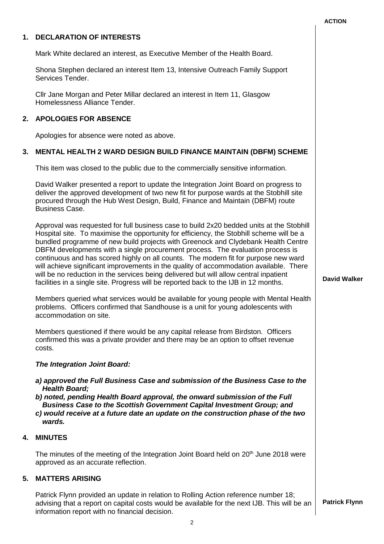## **1. DECLARATION OF INTERESTS** Mark White declared an interest, as Executive Member of the Health Board. Shona Stephen declared an interest Item 13, Intensive Outreach Family Support Services Tender. Cllr Jane Morgan and Peter Millar declared an interest in Item 11, Glasgow Homelessness Alliance Tender. **2. APOLOGIES FOR ABSENCE** Apologies for absence were noted as above. **3. MENTAL HEALTH 2 WARD DESIGN BUILD FINANCE MAINTAIN (DBFM) SCHEME** This item was closed to the public due to the commercially sensitive information. David Walker presented a report to update the Integration Joint Board on progress to deliver the approved development of two new fit for purpose wards at the Stobhill site procured through the Hub West Design, Build, Finance and Maintain (DBFM) route Business Case. Approval was requested for full business case to build 2x20 bedded units at the Stobhill Hospital site. To maximise the opportunity for efficiency, the Stobhill scheme will be a bundled programme of new build projects with Greenock and Clydebank Health Centre DBFM developments with a single procurement process. The evaluation process is continuous and has scored highly on all counts. The modern fit for purpose new ward will achieve significant improvements in the quality of accommodation available. There will be no reduction in the services being delivered but will allow central inpatient facilities in a single site. Progress will be reported back to the IJB in 12 months. Members queried what services would be available for young people with Mental Health problems. Officers confirmed that Sandhouse is a unit for young adolescents with accommodation on site. Members questioned if there would be any capital release from Birdston. Officers confirmed this was a private provider and there may be an option to offset revenue costs. *The Integration Joint Board: a) approved the Full Business Case and submission of the Business Case to the Health Board; b) noted, pending Health Board approval, the onward submission of the Full Business Case to the Scottish Government Capital Investment Group; and c) would receive at a future date an update on the construction phase of the two wards.* **David Walker 4. MINUTES** The minutes of the meeting of the Integration Joint Board held on 20<sup>th</sup> June 2018 were approved as an accurate reflection. **5. MATTERS ARISING** Patrick Flynn provided an update in relation to Rolling Action reference number 18; advising that a report on capital costs would be available for the next IJB. This will be an **Patrick Flynn**

**ACTION**

information report with no financial decision.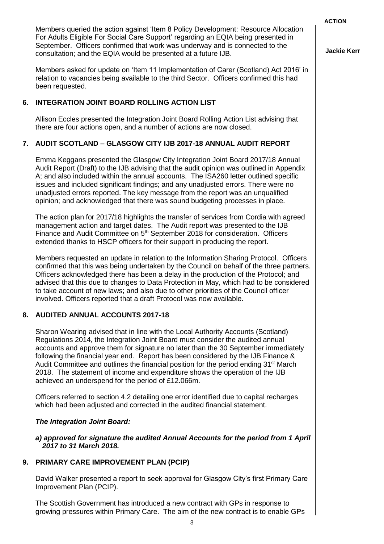Members queried the action against 'Item 8 Policy Development: Resource Allocation For Adults Eligible For Social Care Support' regarding an EQIA being presented in September. Officers confirmed that work was underway and is connected to the consultation; and the EQIA would be presented at a future IJB.

Members asked for update on 'Item 11 Implementation of Carer (Scotland) Act 2016' in relation to vacancies being available to the third Sector. Officers confirmed this had been requested.

#### **6. INTEGRATION JOINT BOARD ROLLING ACTION LIST**

Allison Eccles presented the Integration Joint Board Rolling Action List advising that there are four actions open, and a number of actions are now closed.

### **7. AUDIT SCOTLAND – GLASGOW CITY IJB 2017-18 ANNUAL AUDIT REPORT**

Emma Keggans presented the Glasgow City Integration Joint Board 2017/18 Annual Audit Report (Draft) to the IJB advising that the audit opinion was outlined in Appendix A; and also included within the annual accounts. The ISA260 letter outlined specific issues and included significant findings; and any unadjusted errors. There were no unadjusted errors reported. The key message from the report was an unqualified opinion; and acknowledged that there was sound budgeting processes in place.

The action plan for 2017/18 highlights the transfer of services from Cordia with agreed management action and target dates. The Audit report was presented to the IJB Finance and Audit Committee on 5<sup>th</sup> September 2018 for consideration. Officers extended thanks to HSCP officers for their support in producing the report.

Members requested an update in relation to the Information Sharing Protocol. Officers confirmed that this was being undertaken by the Council on behalf of the three partners. Officers acknowledged there has been a delay in the production of the Protocol; and advised that this due to changes to Data Protection in May, which had to be considered to take account of new laws; and also due to other priorities of the Council officer involved. Officers reported that a draft Protocol was now available.

#### **8. AUDITED ANNUAL ACCOUNTS 2017-18**

Sharon Wearing advised that in line with the Local Authority Accounts (Scotland) Regulations 2014, the Integration Joint Board must consider the audited annual accounts and approve them for signature no later than the 30 September immediately following the financial year end. Report has been considered by the IJB Finance & Audit Committee and outlines the financial position for the period ending  $31<sup>st</sup>$  March 2018. The statement of income and expenditure shows the operation of the IJB achieved an underspend for the period of £12.066m.

Officers referred to section 4.2 detailing one error identified due to capital recharges which had been adjusted and corrected in the audited financial statement.

#### *The Integration Joint Board:*

#### *a) approved for signature the audited Annual Accounts for the period from 1 April 2017 to 31 March 2018.*

### **9. PRIMARY CARE IMPROVEMENT PLAN (PCIP)**

David Walker presented a report to seek approval for Glasgow City's first Primary Care Improvement Plan (PCIP).

The Scottish Government has introduced a new contract with GPs in response to growing pressures within Primary Care. The aim of the new contract is to enable GPs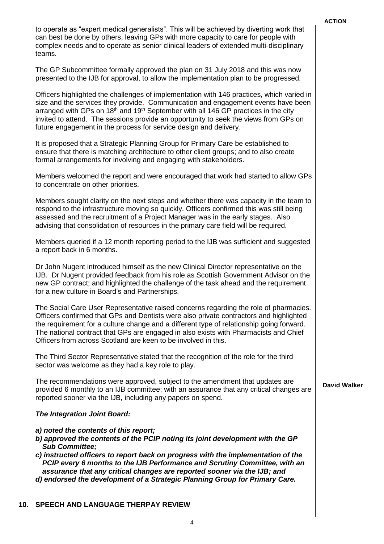to operate as "expert medical generalists". This will be achieved by diverting work that can best be done by others, leaving GPs with more capacity to care for people with complex needs and to operate as senior clinical leaders of extended multi-disciplinary teams.

The GP Subcommittee formally approved the plan on 31 July 2018 and this was now presented to the IJB for approval, to allow the implementation plan to be progressed.

Officers highlighted the challenges of implementation with 146 practices, which varied in size and the services they provide. Communication and engagement events have been arranged with GPs on 18<sup>th</sup> and 19<sup>th</sup> September with all 146 GP practices in the city invited to attend. The sessions provide an opportunity to seek the views from GPs on future engagement in the process for service design and delivery.

It is proposed that a Strategic Planning Group for Primary Care be established to ensure that there is matching architecture to other client groups; and to also create formal arrangements for involving and engaging with stakeholders.

Members welcomed the report and were encouraged that work had started to allow GPs to concentrate on other priorities.

Members sought clarity on the next steps and whether there was capacity in the team to respond to the infrastructure moving so quickly. Officers confirmed this was still being assessed and the recruitment of a Project Manager was in the early stages. Also advising that consolidation of resources in the primary care field will be required.

Members queried if a 12 month reporting period to the IJB was sufficient and suggested a report back in 6 months.

Dr John Nugent introduced himself as the new Clinical Director representative on the IJB. Dr Nugent provided feedback from his role as Scottish Government Advisor on the new GP contract; and highlighted the challenge of the task ahead and the requirement for a new culture in Board's and Partnerships.

The Social Care User Representative raised concerns regarding the role of pharmacies. Officers confirmed that GPs and Dentists were also private contractors and highlighted the requirement for a culture change and a different type of relationship going forward. The national contract that GPs are engaged in also exists with Pharmacists and Chief Officers from across Scotland are keen to be involved in this.

The Third Sector Representative stated that the recognition of the role for the third sector was welcome as they had a key role to play.

The recommendations were approved, subject to the amendment that updates are provided 6 monthly to an IJB committee; with an assurance that any critical changes are reported sooner via the IJB, including any papers on spend.

#### *The Integration Joint Board:*

- *a) noted the contents of this report;*
- *b) approved the contents of the PCIP noting its joint development with the GP Sub Committee;*
- *c) instructed officers to report back on progress with the implementation of the PCIP every 6 months to the IJB Performance and Scrutiny Committee, with an assurance that any critical changes are reported sooner via the IJB; and d) endorsed the development of a Strategic Planning Group for Primary Care.*
- 

#### **10. SPEECH AND LANGUAGE THERPAY REVIEW**

4

#### **David Walker**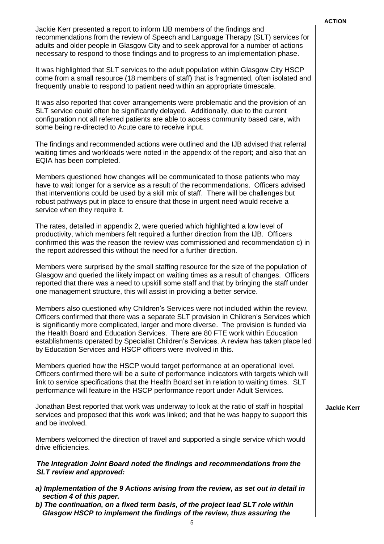Jackie Kerr presented a report to inform IJB members of the findings and recommendations from the review of Speech and Language Therapy (SLT) services for adults and older people in Glasgow City and to seek approval for a number of actions necessary to respond to those findings and to progress to an implementation phase.

It was highlighted that SLT services to the adult population within Glasgow City HSCP come from a small resource (18 members of staff) that is fragmented, often isolated and frequently unable to respond to patient need within an appropriate timescale.

It was also reported that cover arrangements were problematic and the provision of an SLT service could often be significantly delayed. Additionally, due to the current configuration not all referred patients are able to access community based care, with some being re-directed to Acute care to receive input.

The findings and recommended actions were outlined and the IJB advised that referral waiting times and workloads were noted in the appendix of the report; and also that an EQIA has been completed.

Members questioned how changes will be communicated to those patients who may have to wait longer for a service as a result of the recommendations. Officers advised that interventions could be used by a skill mix of staff. There will be challenges but robust pathways put in place to ensure that those in urgent need would receive a service when they require it.

The rates, detailed in appendix 2, were queried which highlighted a low level of productivity, which members felt required a further direction from the IJB. Officers confirmed this was the reason the review was commissioned and recommendation c) in the report addressed this without the need for a further direction.

Members were surprised by the small staffing resource for the size of the population of Glasgow and queried the likely impact on waiting times as a result of changes. Officers reported that there was a need to upskill some staff and that by bringing the staff under one management structure, this will assist in providing a better service.

Members also questioned why Children's Services were not included within the review. Officers confirmed that there was a separate SLT provision in Children's Services which is significantly more complicated, larger and more diverse. The provision is funded via the Health Board and Education Services. There are 80 FTE work within Education establishments operated by Specialist Children's Services. A review has taken place led by Education Services and HSCP officers were involved in this.

Members queried how the HSCP would target performance at an operational level. Officers confirmed there will be a suite of performance indicators with targets which will link to service specifications that the Health Board set in relation to waiting times. SLT performance will feature in the HSCP performance report under Adult Services.

Jonathan Best reported that work was underway to look at the ratio of staff in hospital services and proposed that this work was linked; and that he was happy to support this and be involved.

Members welcomed the direction of travel and supported a single service which would drive efficiencies.

#### *The Integration Joint Board noted the findings and recommendations from the SLT review and approved:*

- *a) Implementation of the 9 Actions arising from the review, as set out in detail in section 4 of this paper.*
- *b) The continuation, on a fixed term basis, of the project lead SLT role within Glasgow HSCP to implement the findings of the review, thus assuring the*

**Jackie Kerr**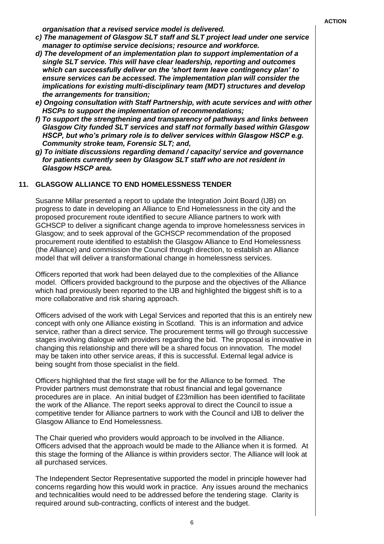*organisation that a revised service model is delivered.*

- *c) The management of Glasgow SLT staff and SLT project lead under one service manager to optimise service decisions; resource and workforce.*
- *d) The development of an implementation plan to support implementation of a single SLT service. This will have clear leadership, reporting and outcomes which can successfully deliver on the 'short term leave contingency plan' to ensure services can be accessed. The implementation plan will consider the implications for existing multi-disciplinary team (MDT) structures and develop the arrangements for transition;*
- *e) Ongoing consultation with Staff Partnership, with acute services and with other HSCPs to support the implementation of recommendations;*
- *f) To support the strengthening and transparency of pathways and links between Glasgow City funded SLT services and staff not formally based within Glasgow HSCP, but who's primary role is to deliver services within Glasgow HSCP e.g. Community stroke team, Forensic SLT; and,*
- *g) To initiate discussions regarding demand / capacity/ service and governance for patients currently seen by Glasgow SLT staff who are not resident in Glasgow HSCP area.*

#### **11. GLASGOW ALLIANCE TO END HOMELESSNESS TENDER**

Susanne Millar presented a report to update the Integration Joint Board (IJB) on progress to date in developing an Alliance to End Homelessness in the city and the proposed procurement route identified to secure Alliance partners to work with GCHSCP to deliver a significant change agenda to improve homelessness services in Glasgow; and to seek approval of the GCHSCP recommendation of the proposed procurement route identified to establish the Glasgow Alliance to End Homelessness (the Alliance) and commission the Council through direction, to establish an Alliance model that will deliver a transformational change in homelessness services.

Officers reported that work had been delayed due to the complexities of the Alliance model. Officers provided background to the purpose and the objectives of the Alliance which had previously been reported to the IJB and highlighted the biggest shift is to a more collaborative and risk sharing approach.

Officers advised of the work with Legal Services and reported that this is an entirely new concept with only one Alliance existing in Scotland. This is an information and advice service, rather than a direct service. The procurement terms will go through successive stages involving dialogue with providers regarding the bid. The proposal is innovative in changing this relationship and there will be a shared focus on innovation. The model may be taken into other service areas, if this is successful. External legal advice is being sought from those specialist in the field.

Officers highlighted that the first stage will be for the Alliance to be formed. The Provider partners must demonstrate that robust financial and legal governance procedures are in place. An initial budget of £23million has been identified to facilitate the work of the Alliance. The report seeks approval to direct the Council to issue a competitive tender for Alliance partners to work with the Council and IJB to deliver the Glasgow Alliance to End Homelessness.

The Chair queried who providers would approach to be involved in the Alliance. Officers advised that the approach would be made to the Alliance when it is formed. At this stage the forming of the Alliance is within providers sector. The Alliance will look at all purchased services.

The Independent Sector Representative supported the model in principle however had concerns regarding how this would work in practice. Any issues around the mechanics and technicalities would need to be addressed before the tendering stage. Clarity is required around sub-contracting, conflicts of interest and the budget.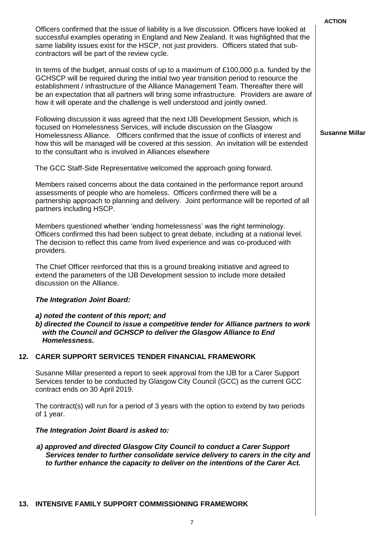|     |                                                                                                                                                                                                                                                                                                                                                                                                                                                       | <b>ACTION</b>         |
|-----|-------------------------------------------------------------------------------------------------------------------------------------------------------------------------------------------------------------------------------------------------------------------------------------------------------------------------------------------------------------------------------------------------------------------------------------------------------|-----------------------|
|     | Officers confirmed that the issue of liability is a live discussion. Officers have looked at<br>successful examples operating in England and New Zealand. It was highlighted that the<br>same liability issues exist for the HSCP, not just providers. Officers stated that sub-<br>contractors will be part of the review cycle.                                                                                                                     |                       |
|     | In terms of the budget, annual costs of up to a maximum of £100,000 p.a. funded by the<br>GCHSCP will be required during the initial two year transition period to resource the<br>establishment / infrastructure of the Alliance Management Team. Thereafter there will<br>be an expectation that all partners will bring some infrastructure. Providers are aware of<br>how it will operate and the challenge is well understood and jointly owned. |                       |
|     | Following discussion it was agreed that the next IJB Development Session, which is<br>focused on Homelessness Services, will include discussion on the Glasgow<br>Homelessness Alliance. Officers confirmed that the issue of conflicts of interest and<br>how this will be managed will be covered at this session. An invitation will be extended<br>to the consultant who is involved in Alliances elsewhere                                       | <b>Susanne Millar</b> |
|     | The GCC Staff-Side Representative welcomed the approach going forward.                                                                                                                                                                                                                                                                                                                                                                                |                       |
|     | Members raised concerns about the data contained in the performance report around<br>assessments of people who are homeless. Officers confirmed there will be a<br>partnership approach to planning and delivery. Joint performance will be reported of all<br>partners including HSCP.                                                                                                                                                               |                       |
|     | Members questioned whether 'ending homelessness' was the right terminology.<br>Officers confirmed this had been subject to great debate, including at a national level.<br>The decision to reflect this came from lived experience and was co-produced with<br>providers.                                                                                                                                                                             |                       |
|     | The Chief Officer reinforced that this is a ground breaking initiative and agreed to<br>extend the parameters of the IJB Development session to include more detailed<br>discussion on the Alliance.                                                                                                                                                                                                                                                  |                       |
|     | The Integration Joint Board:                                                                                                                                                                                                                                                                                                                                                                                                                          |                       |
|     | a) noted the content of this report; and<br>b) directed the Council to issue a competitive tender for Alliance partners to work<br>with the Council and GCHSCP to deliver the Glasgow Alliance to End<br>Homelessness.                                                                                                                                                                                                                                |                       |
| 12. | <b>CARER SUPPORT SERVICES TENDER FINANCIAL FRAMEWORK</b>                                                                                                                                                                                                                                                                                                                                                                                              |                       |
|     | Susanne Millar presented a report to seek approval from the IJB for a Carer Support<br>Services tender to be conducted by Glasgow City Council (GCC) as the current GCC<br>contract ends on 30 April 2019.                                                                                                                                                                                                                                            |                       |
|     | The contract(s) will run for a period of 3 years with the option to extend by two periods<br>of 1 year.                                                                                                                                                                                                                                                                                                                                               |                       |
|     | The Integration Joint Board is asked to:                                                                                                                                                                                                                                                                                                                                                                                                              |                       |
|     | a) approved and directed Glasgow City Council to conduct a Carer Support<br>Services tender to further consolidate service delivery to carers in the city and<br>to further enhance the capacity to deliver on the intentions of the Carer Act.                                                                                                                                                                                                       |                       |
|     | 13. INTENSIVE FAMILY SUPPORT COMMISSIONING FRAMEWORK                                                                                                                                                                                                                                                                                                                                                                                                  |                       |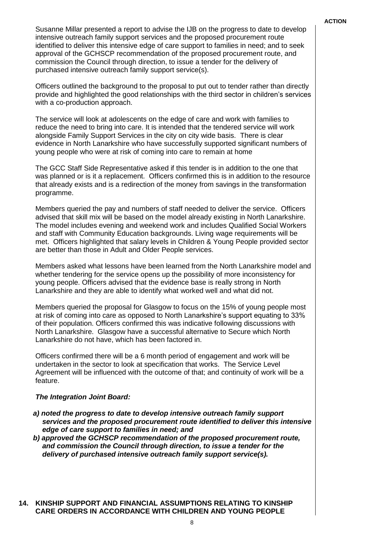Susanne Millar presented a report to advise the IJB on the progress to date to develop intensive outreach family support services and the proposed procurement route identified to deliver this intensive edge of care support to families in need; and to seek approval of the GCHSCP recommendation of the proposed procurement route, and commission the Council through direction, to issue a tender for the delivery of purchased intensive outreach family support service(s).

Officers outlined the background to the proposal to put out to tender rather than directly provide and highlighted the good relationships with the third sector in children's services with a co-production approach.

The service will look at adolescents on the edge of care and work with families to reduce the need to bring into care. It is intended that the tendered service will work alongside Family Support Services in the city on city wide basis. There is clear evidence in North Lanarkshire who have successfully supported significant numbers of young people who were at risk of coming into care to remain at home

The GCC Staff Side Representative asked if this tender is in addition to the one that was planned or is it a replacement. Officers confirmed this is in addition to the resource that already exists and is a redirection of the money from savings in the transformation programme.

Members queried the pay and numbers of staff needed to deliver the service. Officers advised that skill mix will be based on the model already existing in North Lanarkshire. The model includes evening and weekend work and includes Qualified Social Workers and staff with Community Education backgrounds. Living wage requirements will be met. Officers highlighted that salary levels in Children & Young People provided sector are better than those in Adult and Older People services.

Members asked what lessons have been learned from the North Lanarkshire model and whether tendering for the service opens up the possibility of more inconsistency for young people. Officers advised that the evidence base is really strong in North Lanarkshire and they are able to identify what worked well and what did not.

Members queried the proposal for Glasgow to focus on the 15% of young people most at risk of coming into care as opposed to North Lanarkshire's support equating to 33% of their population. Officers confirmed this was indicative following discussions with North Lanarkshire. Glasgow have a successful alternative to Secure which North Lanarkshire do not have, which has been factored in.

Officers confirmed there will be a 6 month period of engagement and work will be undertaken in the sector to look at specification that works. The Service Level Agreement will be influenced with the outcome of that; and continuity of work will be a feature.

#### *The Integration Joint Board:*

- *a) noted the progress to date to develop intensive outreach family support services and the proposed procurement route identified to deliver this intensive edge of care support to families in need; and*
- *b) approved the GCHSCP recommendation of the proposed procurement route, and commission the Council through direction, to issue a tender for the delivery of purchased intensive outreach family support service(s).*

#### **14. KINSHIP SUPPORT AND FINANCIAL ASSUMPTIONS RELATING TO KINSHIP CARE ORDERS IN ACCORDANCE WITH CHILDREN AND YOUNG PEOPLE**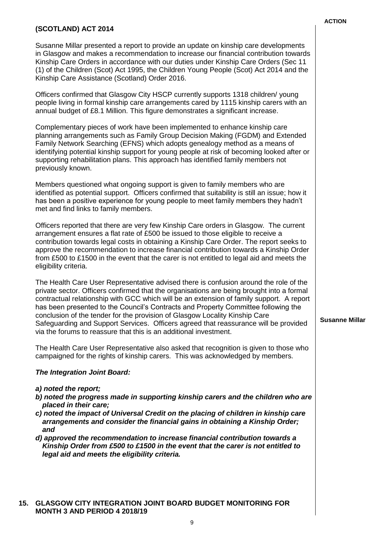#### **(SCOTLAND) ACT 2014**

Susanne Millar presented a report to provide an update on kinship care developments in Glasgow and makes a recommendation to increase our financial contribution towards Kinship Care Orders in accordance with our duties under Kinship Care Orders (Sec 11 (1) of the Children (Scot) Act 1995, the Children Young People (Scot) Act 2014 and the Kinship Care Assistance (Scotland) Order 2016.

Officers confirmed that Glasgow City HSCP currently supports 1318 children/ young people living in formal kinship care arrangements cared by 1115 kinship carers with an annual budget of £8.1 Million. This figure demonstrates a significant increase.

Complementary pieces of work have been implemented to enhance kinship care planning arrangements such as Family Group Decision Making (FGDM) and Extended Family Network Searching (EFNS) which adopts genealogy method as a means of identifying potential kinship support for young people at risk of becoming looked after or supporting rehabilitation plans. This approach has identified family members not previously known.

Members questioned what ongoing support is given to family members who are identified as potential support. Officers confirmed that suitability is still an issue; how it has been a positive experience for young people to meet family members they hadn't met and find links to family members.

Officers reported that there are very few Kinship Care orders in Glasgow. The current arrangement ensures a flat rate of £500 be issued to those eligible to receive a contribution towards legal costs in obtaining a Kinship Care Order. The report seeks to approve the recommendation to increase financial contribution towards a Kinship Order from £500 to £1500 in the event that the carer is not entitled to legal aid and meets the eligibility criteria.

The Health Care User Representative advised there is confusion around the role of the private sector. Officers confirmed that the organisations are being brought into a formal contractual relationship with GCC which will be an extension of family support. A report has been presented to the Council's Contracts and Property Committee following the conclusion of the tender for the provision of Glasgow Locality Kinship Care Safeguarding and Support Services. Officers agreed that reassurance will be provided via the forums to reassure that this is an additional investment.

The Health Care User Representative also asked that recognition is given to those who campaigned for the rights of kinship carers. This was acknowledged by members.

#### *The Integration Joint Board:*

- *a) noted the report;*
- *b) noted the progress made in supporting kinship carers and the children who are placed in their care;*
- *c) noted the impact of Universal Credit on the placing of children in kinship care arrangements and consider the financial gains in obtaining a Kinship Order; and*
- *d) approved the recommendation to increase financial contribution towards a Kinship Order from £500 to £1500 in the event that the carer is not entitled to legal aid and meets the eligibility criteria.*

**Susanne Millar** 

9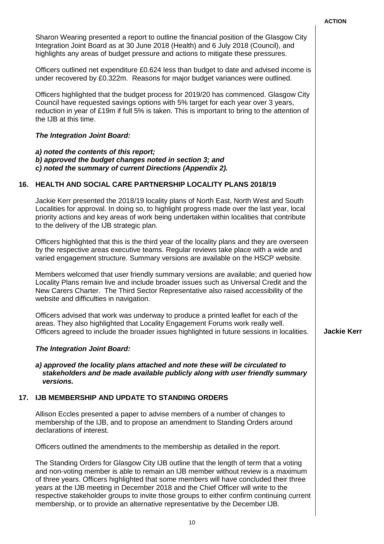|     |                                                                                                                                                                                                                                                                                                                                                                                                                                                                                                                                         | יוטווא             |
|-----|-----------------------------------------------------------------------------------------------------------------------------------------------------------------------------------------------------------------------------------------------------------------------------------------------------------------------------------------------------------------------------------------------------------------------------------------------------------------------------------------------------------------------------------------|--------------------|
|     | Sharon Wearing presented a report to outline the financial position of the Glasgow City<br>Integration Joint Board as at 30 June 2018 (Health) and 6 July 2018 (Council), and<br>highlights any areas of budget pressure and actions to mitigate these pressures.                                                                                                                                                                                                                                                                       |                    |
|     | Officers outlined net expenditure £0.624 less than budget to date and advised income is<br>under recovered by £0.322m. Reasons for major budget variances were outlined.                                                                                                                                                                                                                                                                                                                                                                |                    |
|     | Officers highlighted that the budget process for 2019/20 has commenced. Glasgow City<br>Council have requested savings options with 5% target for each year over 3 years,<br>reduction in year of £19m if full 5% is taken. This is important to bring to the attention of<br>the IJB at this time.                                                                                                                                                                                                                                     |                    |
|     | <b>The Integration Joint Board:</b>                                                                                                                                                                                                                                                                                                                                                                                                                                                                                                     |                    |
|     | a) noted the contents of this report;<br>b) approved the budget changes noted in section 3; and<br>c) noted the summary of current Directions (Appendix 2).                                                                                                                                                                                                                                                                                                                                                                             |                    |
| 16. | <b>HEALTH AND SOCIAL CARE PARTNERSHIP LOCALITY PLANS 2018/19</b>                                                                                                                                                                                                                                                                                                                                                                                                                                                                        |                    |
|     | Jackie Kerr presented the 2018/19 locality plans of North East, North West and South<br>Localities for approval. In doing so, to highlight progress made over the last year, local<br>priority actions and key areas of work being undertaken within localities that contribute<br>to the delivery of the IJB strategic plan.                                                                                                                                                                                                           |                    |
|     | Officers highlighted that this is the third year of the locality plans and they are overseen<br>by the respective areas executive teams. Regular reviews take place with a wide and<br>varied engagement structure. Summary versions are available on the HSCP website.                                                                                                                                                                                                                                                                 |                    |
|     | Members welcomed that user friendly summary versions are available; and queried how<br>Locality Plans remain live and include broader issues such as Universal Credit and the<br>New Carers Charter. The Third Sector Representative also raised accessibility of the<br>website and difficulties in navigation.                                                                                                                                                                                                                        |                    |
|     | Officers advised that work was underway to produce a printed leaflet for each of the<br>areas. They also highlighted that Locality Engagement Forums work really well.<br>Officers agreed to include the broader issues highlighted in future sessions in localities.                                                                                                                                                                                                                                                                   | <b>Jackie Kerr</b> |
|     | <b>The Integration Joint Board:</b>                                                                                                                                                                                                                                                                                                                                                                                                                                                                                                     |                    |
|     | a) approved the locality plans attached and note these will be circulated to<br>stakeholders and be made available publicly along with user friendly summary<br>versions.                                                                                                                                                                                                                                                                                                                                                               |                    |
| 17. | <b>IJB MEMBERSHIP AND UPDATE TO STANDING ORDERS</b>                                                                                                                                                                                                                                                                                                                                                                                                                                                                                     |                    |
|     | Allison Eccles presented a paper to advise members of a number of changes to<br>membership of the IJB, and to propose an amendment to Standing Orders around<br>declarations of interest.                                                                                                                                                                                                                                                                                                                                               |                    |
|     | Officers outlined the amendments to the membership as detailed in the report.                                                                                                                                                                                                                                                                                                                                                                                                                                                           |                    |
|     | The Standing Orders for Glasgow City IJB outline that the length of term that a voting<br>and non-voting member is able to remain an IJB member without review is a maximum<br>of three years. Officers highlighted that some members will have concluded their three<br>years at the IJB meeting in December 2018 and the Chief Officer will write to the<br>respective stakeholder groups to invite those groups to either confirm continuing current<br>membership, or to provide an alternative representative by the December IJB. |                    |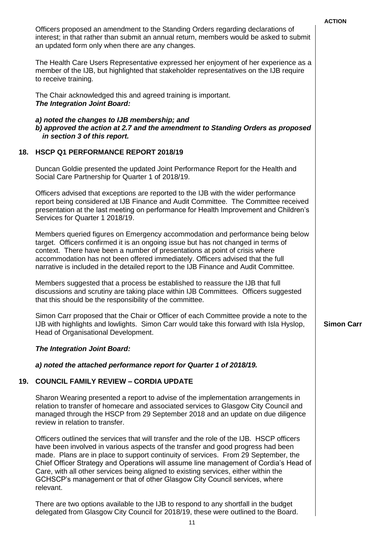|     |                                                                                                                                                                                                                                                                                                                                                                                                                                                                                                                                              | <b>ACTION</b>     |
|-----|----------------------------------------------------------------------------------------------------------------------------------------------------------------------------------------------------------------------------------------------------------------------------------------------------------------------------------------------------------------------------------------------------------------------------------------------------------------------------------------------------------------------------------------------|-------------------|
|     | Officers proposed an amendment to the Standing Orders regarding declarations of<br>interest; in that rather than submit an annual return, members would be asked to submit<br>an updated form only when there are any changes.                                                                                                                                                                                                                                                                                                               |                   |
|     | The Health Care Users Representative expressed her enjoyment of her experience as a<br>member of the IJB, but highlighted that stakeholder representatives on the IJB require<br>to receive training.                                                                                                                                                                                                                                                                                                                                        |                   |
|     | The Chair acknowledged this and agreed training is important.<br>The Integration Joint Board:                                                                                                                                                                                                                                                                                                                                                                                                                                                |                   |
|     | a) noted the changes to IJB membership; and<br>b) approved the action at 2.7 and the amendment to Standing Orders as proposed<br>in section 3 of this report.                                                                                                                                                                                                                                                                                                                                                                                |                   |
| 18. | HSCP Q1 PERFORMANCE REPORT 2018/19                                                                                                                                                                                                                                                                                                                                                                                                                                                                                                           |                   |
|     | Duncan Goldie presented the updated Joint Performance Report for the Health and<br>Social Care Partnership for Quarter 1 of 2018/19.                                                                                                                                                                                                                                                                                                                                                                                                         |                   |
|     | Officers advised that exceptions are reported to the IJB with the wider performance<br>report being considered at IJB Finance and Audit Committee. The Committee received<br>presentation at the last meeting on performance for Health Improvement and Children's<br>Services for Quarter 1 2018/19.                                                                                                                                                                                                                                        |                   |
|     | Members queried figures on Emergency accommodation and performance being below<br>target. Officers confirmed it is an ongoing issue but has not changed in terms of<br>context. There have been a number of presentations at point of crisis where<br>accommodation has not been offered immediately. Officers advised that the full<br>narrative is included in the detailed report to the IJB Finance and Audit Committee.                                                                                                                 |                   |
|     | Members suggested that a process be established to reassure the IJB that full<br>discussions and scrutiny are taking place within IJB Committees. Officers suggested<br>that this should be the responsibility of the committee.                                                                                                                                                                                                                                                                                                             |                   |
|     | Simon Carr proposed that the Chair or Officer of each Committee provide a note to the<br>IJB with highlights and lowlights. Simon Carr would take this forward with Isla Hyslop,<br>Head of Organisational Development.                                                                                                                                                                                                                                                                                                                      | <b>Simon Carr</b> |
|     | The Integration Joint Board:                                                                                                                                                                                                                                                                                                                                                                                                                                                                                                                 |                   |
|     | a) noted the attached performance report for Quarter 1 of 2018/19.                                                                                                                                                                                                                                                                                                                                                                                                                                                                           |                   |
| 19. | <b>COUNCIL FAMILY REVIEW - CORDIA UPDATE</b>                                                                                                                                                                                                                                                                                                                                                                                                                                                                                                 |                   |
|     | Sharon Wearing presented a report to advise of the implementation arrangements in<br>relation to transfer of homecare and associated services to Glasgow City Council and<br>managed through the HSCP from 29 September 2018 and an update on due diligence<br>review in relation to transfer.                                                                                                                                                                                                                                               |                   |
|     | Officers outlined the services that will transfer and the role of the IJB. HSCP officers<br>have been involved in various aspects of the transfer and good progress had been<br>made. Plans are in place to support continuity of services. From 29 September, the<br>Chief Officer Strategy and Operations will assume line management of Cordia's Head of<br>Care, with all other services being aligned to existing services, either within the<br>GCHSCP's management or that of other Glasgow City Council services, where<br>relevant. |                   |
|     | There are two options available to the IJB to respond to any shortfall in the budget<br>delegated from Glasgow City Council for 2018/19, these were outlined to the Board.                                                                                                                                                                                                                                                                                                                                                                   |                   |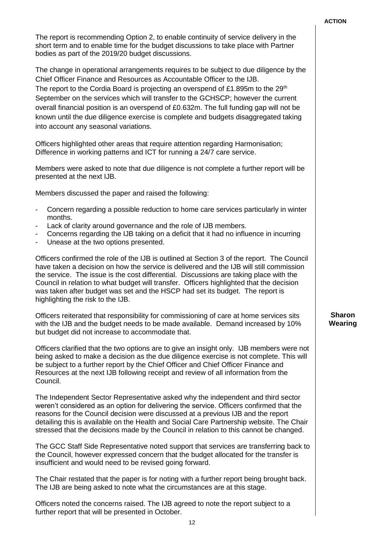| The report is recommending Option 2, to enable continuity of service delivery in the<br>short term and to enable time for the budget discussions to take place with Partner<br>bodies as part of the 2019/20 budget discussions.                                                                                                                                                                                                                                                                                                                                               |                          |
|--------------------------------------------------------------------------------------------------------------------------------------------------------------------------------------------------------------------------------------------------------------------------------------------------------------------------------------------------------------------------------------------------------------------------------------------------------------------------------------------------------------------------------------------------------------------------------|--------------------------|
| The change in operational arrangements requires to be subject to due diligence by the<br>Chief Officer Finance and Resources as Accountable Officer to the IJB.<br>The report to the Cordia Board is projecting an overspend of £1.895m to the 29 <sup>th</sup><br>September on the services which will transfer to the GCHSCP; however the current<br>overall financial position is an overspend of £0.632m. The full funding gap will not be<br>known until the due diligence exercise is complete and budgets disaggregated taking<br>into account any seasonal variations. |                          |
| Officers highlighted other areas that require attention regarding Harmonisation;<br>Difference in working patterns and ICT for running a 24/7 care service.                                                                                                                                                                                                                                                                                                                                                                                                                    |                          |
| Members were asked to note that due diligence is not complete a further report will be<br>presented at the next IJB.                                                                                                                                                                                                                                                                                                                                                                                                                                                           |                          |
| Members discussed the paper and raised the following:                                                                                                                                                                                                                                                                                                                                                                                                                                                                                                                          |                          |
| Concern regarding a possible reduction to home care services particularly in winter<br>months.<br>Lack of clarity around governance and the role of IJB members.<br>Concerns regarding the IJB taking on a deficit that it had no influence in incurring<br>Unease at the two options presented.<br>$\blacksquare$                                                                                                                                                                                                                                                             |                          |
| Officers confirmed the role of the IJB is outlined at Section 3 of the report. The Council<br>have taken a decision on how the service is delivered and the IJB will still commission<br>the service. The issue is the cost differential. Discussions are taking place with the<br>Council in relation to what budget will transfer. Officers highlighted that the decision<br>was taken after budget was set and the HSCP had set its budget. The report is<br>highlighting the risk to the IJB.                                                                              |                          |
| Officers reiterated that responsibility for commissioning of care at home services sits<br>with the IJB and the budget needs to be made available. Demand increased by 10%<br>but budget did not increase to accommodate that.                                                                                                                                                                                                                                                                                                                                                 | <b>Sharon</b><br>Wearing |
| Officers clarified that the two options are to give an insight only. IJB members were not<br>being asked to make a decision as the due diligence exercise is not complete. This will<br>be subject to a further report by the Chief Officer and Chief Officer Finance and<br>Resources at the next IJB following receipt and review of all information from the<br>Council.                                                                                                                                                                                                    |                          |
| The Independent Sector Representative asked why the independent and third sector<br>weren't considered as an option for delivering the service. Officers confirmed that the<br>reasons for the Council decision were discussed at a previous IJB and the report<br>detailing this is available on the Health and Social Care Partnership website. The Chair<br>stressed that the decisions made by the Council in relation to this cannot be changed.                                                                                                                          |                          |
| The GCC Staff Side Representative noted support that services are transferring back to                                                                                                                                                                                                                                                                                                                                                                                                                                                                                         |                          |

**ACTION**

the Council, however expressed concern that the budget allocated for the transfer is insufficient and would need to be revised going forward.

The Chair restated that the paper is for noting with a further report being brought back. The IJB are being asked to note what the circumstances are at this stage.

Officers noted the concerns raised. The IJB agreed to note the report subject to a further report that will be presented in October.

12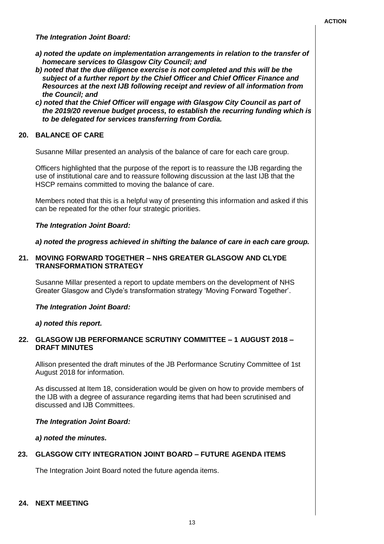*The Integration Joint Board:*

- *a) noted the update on implementation arrangements in relation to the transfer of homecare services to Glasgow City Council; and*
- *b) noted that the due diligence exercise is not completed and this will be the subject of a further report by the Chief Officer and Chief Officer Finance and Resources at the next IJB following receipt and review of all information from the Council; and*
- *c) noted that the Chief Officer will engage with Glasgow City Council as part of the 2019/20 revenue budget process, to establish the recurring funding which is to be delegated for services transferring from Cordia.*

#### **20. BALANCE OF CARE**

Susanne Millar presented an analysis of the balance of care for each care group.

Officers highlighted that the purpose of the report is to reassure the IJB regarding the use of institutional care and to reassure following discussion at the last IJB that the HSCP remains committed to moving the balance of care.

Members noted that this is a helpful way of presenting this information and asked if this can be repeated for the other four strategic priorities.

#### *The Integration Joint Board:*

*a) noted the progress achieved in shifting the balance of care in each care group.*

#### **21. MOVING FORWARD TOGETHER – NHS GREATER GLASGOW AND CLYDE TRANSFORMATION STRATEGY**

Susanne Millar presented a report to update members on the development of NHS Greater Glasgow and Clyde's transformation strategy 'Moving Forward Together'.

#### *The Integration Joint Board:*

#### *a) noted this report.*

#### **22. GLASGOW IJB PERFORMANCE SCRUTINY COMMITTEE – 1 AUGUST 2018 – DRAFT MINUTES**

Allison presented the draft minutes of the JB Performance Scrutiny Committee of 1st August 2018 for information.

As discussed at Item 18, consideration would be given on how to provide members of the IJB with a degree of assurance regarding items that had been scrutinised and discussed and IJB Committees.

#### *The Integration Joint Board:*

*a) noted the minutes.*

#### **23. GLASGOW CITY INTEGRATION JOINT BOARD – FUTURE AGENDA ITEMS**

The Integration Joint Board noted the future agenda items.

#### **24. NEXT MEETING**